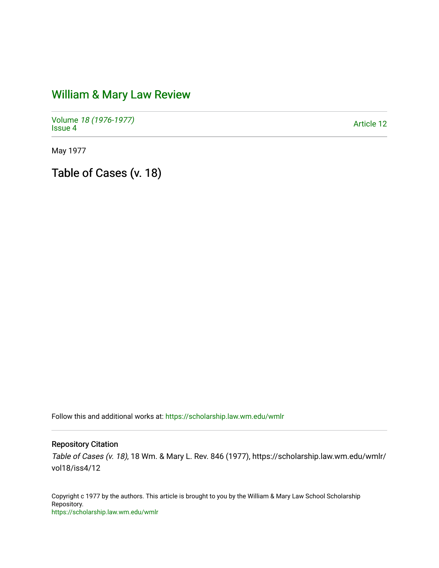## [William & Mary Law Review](https://scholarship.law.wm.edu/wmlr)

Volume [18 \(1976-1977\)](https://scholarship.law.wm.edu/wmlr/vol18)  Notative 10 (1970-1977)<br>[Issue 4](https://scholarship.law.wm.edu/wmlr/vol18/iss4) Article 12

May 1977

Table of Cases (v. 18)

Follow this and additional works at: [https://scholarship.law.wm.edu/wmlr](https://scholarship.law.wm.edu/wmlr?utm_source=scholarship.law.wm.edu%2Fwmlr%2Fvol18%2Fiss4%2F12&utm_medium=PDF&utm_campaign=PDFCoverPages)

## Repository Citation

Table of Cases (v. 18), 18 Wm. & Mary L. Rev. 846 (1977), https://scholarship.law.wm.edu/wmlr/ vol18/iss4/12

Copyright c 1977 by the authors. This article is brought to you by the William & Mary Law School Scholarship Repository. <https://scholarship.law.wm.edu/wmlr>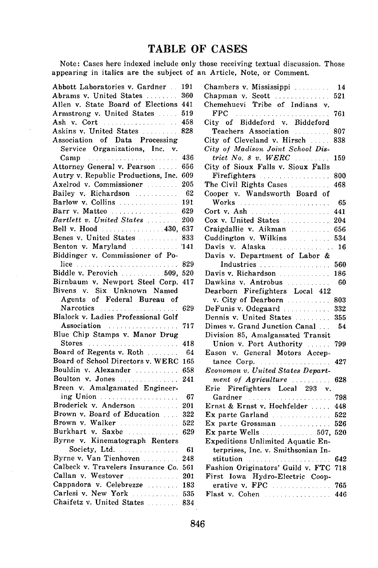## **TABLE OF CASES**

Note: Cases here indexed include only those receiving textual discussion. Those appearing in italics are the subject of an Article, Note, or Comment.

 $\Box$ 

| Abbott Laboratories v. Gardner 191             |     | Chambers v. Mississippi                                                          | 14         |
|------------------------------------------------|-----|----------------------------------------------------------------------------------|------------|
| Abrams v. United States  360                   |     | Chapman v. Scott $\ldots$ $\ldots$ 521                                           |            |
| Allen v. State Board of Elections 441          |     | Chemehuevi Tribe of Indians v.                                                   |            |
| Armstrong v. United States                     | 519 | FPC descriptions and construction                                                | 761        |
| Ash v. Cort                                    | 458 | City of Biddeford v. Biddeford                                                   |            |
| Askins v. United States                        | 828 | Teachers Association (1997) 807                                                  |            |
| Association of Data Processing                 |     | City of Cleveland v. Hirsch  838                                                 |            |
| Service Organizations, Inc.<br>v.              |     | City of Madison Joint School Dis-                                                |            |
| Camp                                           | 436 | trict No. 8 v. WERC $\ldots$                                                     | 159        |
| Attorney General v. Pearson                    | 656 | City of Sioux Falls v. Sioux Falls                                               |            |
| Autry v. Republic Productions, Inc. 609        |     | Firefighters                                                                     | 800        |
| Axelrod v. Commissioner                        | 205 | The Civil Rights Cases                                                           | 468        |
| Bailey v. Richardson                           | 62  | Cooper v. Wandsworth Board of                                                    |            |
| Barlow v. Collins  191                         |     | Works                                                                            | 65         |
| Barr v. Matteo  629                            |     | Cort v. Ash                                                                      | 441        |
|                                                |     | Cox v. United States  204                                                        |            |
| Bell v. Hood  430, 637                         |     | Craigdallie v. Aikman  656                                                       |            |
|                                                |     | Cuddington v. Wilkins  534                                                       |            |
| Benton v. Maryland  141                        |     | Davis v. Alaska  16                                                              |            |
| Biddinger v. Commissioner of Po-               |     | Davis v. Department of Labor &                                                   |            |
|                                                |     | Industries                                                                       | 560        |
|                                                |     | Davis v. Richardson                                                              | 186        |
| Birnbaum v. Newport Steel Corp. 417            |     | Dawkins v. Antrobus                                                              | 60         |
| Bivens v. Six Unknown Named                    |     | Dearborn Firefighters Local 412                                                  |            |
| Agents of Federal Bureau of                    |     | v. City of Dearborn                                                              | 803        |
| Narcotics                                      | 629 | DeFunis v. Odegaard                                                              | 332        |
| Blalock v. Ladies Professional Golf            |     | Dennis v. United States                                                          | 355        |
| Association                                    | 717 | Dimes v. Grand Junction Canal                                                    | 54         |
| Blue Chip Stamps v. Manor Drug                 |     | Division 85, Amalgamated Transit                                                 |            |
| Stores                                         | 418 | Union v. Port Authority                                                          | 799        |
| Board of Regents v. Roth                       | 64  | Eason v. General Motors Accep-                                                   |            |
| Board of School Directors v. WERC 165          |     | tance Corp.                                                                      | 427        |
| Bouldin v. Alexander                           | 658 | Economou v. United States Depart-                                                |            |
| Boulton v. Jones                               | 241 | ment of Agriculture                                                              | 628        |
| Breen v. Amalgamated Engineer-                 |     | Firefighters Local 293 v.<br>Erie                                                |            |
| ing Union                                      | 67  | Gardner                                                                          | 798        |
| Broderick v. Anderson  201                     |     | Ernst & Ernst v. Hochfelder                                                      | 448        |
| Brown v. Board of Education 222                |     | Ex parte Garland                                                                 | 522        |
| Brown v. Walker  522<br>Burkhart v. Saxbe  629 |     | Ex parte Grossman                                                                | 526        |
| Byrne v. Kinematograph Renters                 |     | Ex parte Wells 507, 520                                                          |            |
| Society, Ltd.                                  | 61  | Expeditions Unlimited Aquatic En-                                                |            |
| Byrne v. Van Tienhoven                         | 248 | terprises, Inc. v. Smithsonian In-                                               |            |
| Calbeck v. Travelers Insurance Co. 561         |     | stitution <i>manufacturers</i> and <i>manufacturers</i> and <i>manufacturers</i> | 642        |
| Callan v. Westover  201                        |     | Fashion Originators' Guild v. FTC                                                | 718        |
| Cappadora v. Celebrezze  183                   |     | First Iowa Hydro-Electric Coop-<br>erative v. FPC                                |            |
| Carlesi v. New York  535                       |     | Flast v. Cohen                                                                   | 765<br>446 |
| Chaifetz v. United States  834                 |     |                                                                                  |            |
|                                                |     |                                                                                  |            |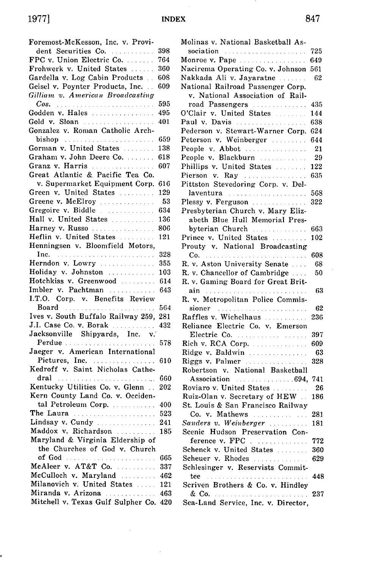INDEX

 $\bar{\beta}$ 

| Foremost-McKesson, Inc. v. Provi-                                                                               |     |
|-----------------------------------------------------------------------------------------------------------------|-----|
| dent Securities Co.                                                                                             | 398 |
| FPC v. Union Electric Co.                                                                                       | 764 |
| Frohwerk v. United States                                                                                       | 360 |
| Gardella v. Log Cabin Products                                                                                  | 608 |
| Geisel v. Poynter Products, Inc.                                                                                | 609 |
| Gilliam v. American Broadcasting                                                                                |     |
| Cos.                                                                                                            | 595 |
| Godden v. Hales                                                                                                 | 495 |
| Gold v. Sloan                                                                                                   | 401 |
| Gonzalez v. Roman Catholic Arch-                                                                                |     |
| bishop conservation of the bishop conservation of the bishop conservation of the bishop conservation of the set | 659 |
| Gorman v. United States                                                                                         | 138 |
| Graham v. John Deere Co.                                                                                        | 618 |
| Granz v. Harris                                                                                                 | 607 |
| Great Atlantic & Pacific Tea Co.                                                                                |     |
| v. Supermarket Equipment Corp.                                                                                  | 616 |
| Green v. United States                                                                                          | 129 |
|                                                                                                                 |     |
| Greene v. McElroy                                                                                               | 53  |
| Gregoire v. Biddle                                                                                              | 634 |
| Hall v. United States                                                                                           | 136 |
| Harney v. Russo                                                                                                 | 806 |
| Heflin v. United States                                                                                         | 121 |
| Henningsen v. Bloomfield Motors,                                                                                |     |
|                                                                                                                 | 328 |
| Herndon v. Lowry                                                                                                | 355 |
| Holiday v. Johnston                                                                                             | 103 |
| Hotchkiss v. Greenwood                                                                                          | 614 |
| Imbler v. Pachtman                                                                                              | 643 |
| I.T.O. Corp. v. Benefits Review                                                                                 |     |
| Board Marshall and State Board                                                                                  | 564 |
| Ives v. South Buffalo Railway 259,                                                                              | 281 |
| J.I. Case Co. v. Borak                                                                                          | 432 |
| Jacksonville Shipyards, Inc. v.                                                                                 |     |
| Perdue                                                                                                          | 578 |
| Jaeger v. American International                                                                                |     |
| Pictures, Inc.                                                                                                  | 610 |
| Kedroff v. Saint Nicholas Cathe-                                                                                |     |
| dral<br>الموادي والمتحدث والمتحدث والمتحدث والمتحدث والمتحدث                                                    | 660 |
| Kentucky Utilities Co. v. Glenn                                                                                 | 202 |
| Kern County Land Co. v. Occiden-                                                                                |     |
| tal Petroleum Corp.                                                                                             | 400 |
| The Laura                                                                                                       | 523 |
| Lindsay v. Cundy                                                                                                | 241 |
| Maddox v. Richardson                                                                                            | 185 |
| Maryland & Virginia Eldership of                                                                                |     |
| the Churches of God v. Church                                                                                   |     |
| of God<br><u>. Kanadana ana ana ana ana ana ana ana an</u>                                                      | 665 |
| McAleer v. AT&T Co.                                                                                             | 337 |
| McCulloch v. Maryland                                                                                           | 462 |
| Milanovich v. United States                                                                                     | 121 |
|                                                                                                                 | 463 |
| Miranda v. Arizona<br>Mitchell v. Texas Gulf Sulpher Co.                                                        | 420 |
|                                                                                                                 |     |

 $\hat{\boldsymbol{\beta}}$ 

,

 $\bar{\gamma}$ 

| Molinas v. National Basketball As-                                                                                                                                                                                             |     |
|--------------------------------------------------------------------------------------------------------------------------------------------------------------------------------------------------------------------------------|-----|
| sociation contract the contract of the second second second second second second second second second second second second second second second second second second second second second second second second second second s | 725 |
| Monroe v. Pape                                                                                                                                                                                                                 | 649 |
| Nacirema Operating Co. v. Johnson                                                                                                                                                                                              | 561 |
| Nakkada Ali v. Jayaratne                                                                                                                                                                                                       | 62  |
| National Railroad Passenger Corp.                                                                                                                                                                                              |     |
| v. National Association of Rail-                                                                                                                                                                                               |     |
| road Passengers                                                                                                                                                                                                                | 435 |
| O'Clair v. United States                                                                                                                                                                                                       | 144 |
| Paul v. Davis                                                                                                                                                                                                                  | 638 |
| Pederson v. Stewart-Warner Corp.                                                                                                                                                                                               | 624 |
| Peterson v. Weinberger                                                                                                                                                                                                         | 644 |
| People v. Abbot                                                                                                                                                                                                                | 21  |
| People v. Blackburn                                                                                                                                                                                                            | 29  |
| Phillips v. United States                                                                                                                                                                                                      | 122 |
| Pierson v. Ray                                                                                                                                                                                                                 | 635 |
| Pittston Stevedoring Corp. v. Del-                                                                                                                                                                                             |     |
| laventura                                                                                                                                                                                                                      | 568 |
| Plessy v. Ferguson                                                                                                                                                                                                             | 322 |
| Presbyterian Church v. Mary Eliz-                                                                                                                                                                                              |     |
| abeth Blue Hull Memorial Pres-                                                                                                                                                                                                 |     |
| byterian Church                                                                                                                                                                                                                | 663 |
| Prince v. United States                                                                                                                                                                                                        | 102 |
| Prouty v. National Broadcasting                                                                                                                                                                                                |     |
|                                                                                                                                                                                                                                | 608 |
| R. v. Aston University Senate                                                                                                                                                                                                  | 68  |
| R. v. Chancellor of Cambridge                                                                                                                                                                                                  | 50  |
| R. v. Gaming Board for Great Brit-                                                                                                                                                                                             |     |
|                                                                                                                                                                                                                                | 63  |
| R. v. Metropolitan Police Commis-                                                                                                                                                                                              |     |
| sioner en management and a series of the series of the series of the series of the series of the series of the                                                                                                                 | 62  |
| Raffles v. Wichelhaus                                                                                                                                                                                                          | 236 |
| Reliance Electric Co. v. Emerson                                                                                                                                                                                               |     |
| Electric Co.                                                                                                                                                                                                                   | 397 |
| Rich v. RCA Corp.                                                                                                                                                                                                              | 609 |
| Ridge v. Baldwin                                                                                                                                                                                                               | -63 |
| Riggs v. Palmer                                                                                                                                                                                                                | 328 |
| Robertson v. National Basketball                                                                                                                                                                                               |     |
| Association 694,                                                                                                                                                                                                               | 741 |
| Roviaro v. United States                                                                                                                                                                                                       | 26  |
| Ruiz-Olan v. Secretary of HEW                                                                                                                                                                                                  | 186 |
| St. Louis & San Francisco Railway                                                                                                                                                                                              |     |
| Co. v. Mathews                                                                                                                                                                                                                 | 281 |
| Sanders v. Weinberger  181                                                                                                                                                                                                     |     |
| Scenic Hudson Preservation Con-                                                                                                                                                                                                |     |
| ference v. FPC                                                                                                                                                                                                                 | 772 |
| Schenck v. United States                                                                                                                                                                                                       | 360 |
| Scheuer v. Rhodes                                                                                                                                                                                                              | 629 |
| Schlesinger v. Reservists Commit-                                                                                                                                                                                              |     |
| tee construction of the construction of the construction of the construction of the construction of the construction of the construction of the construction of the construction of the construction of the construction of th | 448 |
| Scriven Brothers & Co. v. Hindley                                                                                                                                                                                              |     |
|                                                                                                                                                                                                                                | 237 |
| Sea-Land Service, Inc. v. Director,                                                                                                                                                                                            |     |

 $\lambda$